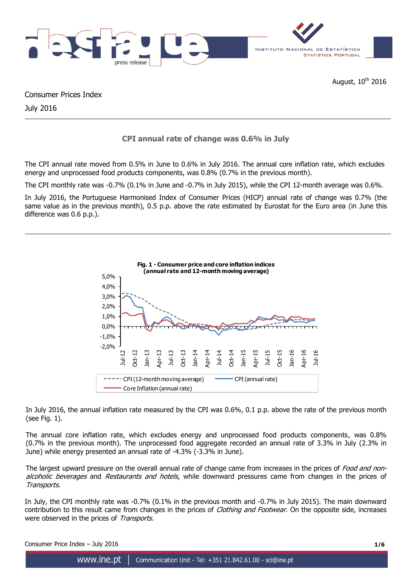

Consumer Prices Index

July 2016

# **CPI annual rate of change was 0.6% in July**

The CPI annual rate moved from 0.5% in June to 0.6% in July 2016. The annual core inflation rate, which excludes energy and unprocessed food products components, was 0.8% (0.7% in the previous month).

The CPI monthly rate was -0.7% (0.1% in June and -0.7% in July 2015), while the CPI 12-month average was 0.6%.

In July 2016, the Portuguese Harmonised Index of Consumer Prices (HICP) annual rate of change was 0.7% (the same value as in the previous month), 0.5 p.p. above the rate estimated by Eurostat for the Euro area (in June this difference was 0.6 p.p.).



In July 2016, the annual inflation rate measured by the CPI was 0.6%, 0.1 p.p. above the rate of the previous month (see Fig. 1).

The annual core inflation rate, which excludes energy and unprocessed food products components, was 0.8% (0.7% in the previous month). The unprocessed food aggregate recorded an annual rate of 3.3% in July (2.3% in June) while energy presented an annual rate of -4.3% (-3.3% in June).

The largest upward pressure on the overall annual rate of change came from increases in the prices of Food and nonalcoholic beverages and Restaurants and hotels, while downward pressures came from changes in the prices of Transports.

In July, the CPI monthly rate was -0.7% (0.1% in the previous month and -0.7% in July 2015). The main downward contribution to this result came from changes in the prices of *Clothing and Footwear*. On the opposite side, increases were observed in the prices of Transports.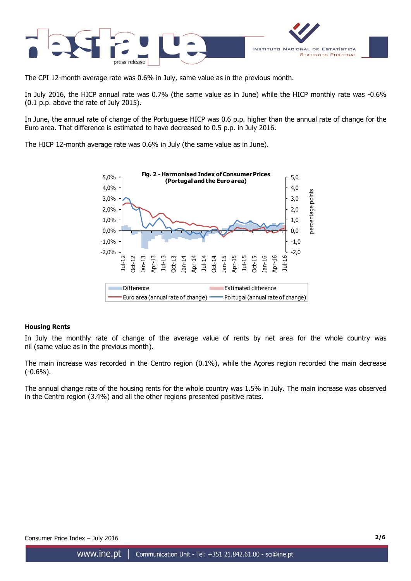

The CPI 12-month average rate was 0.6% in July, same value as in the previous month.

In July 2016, the HICP annual rate was 0.7% (the same value as in June) while the HICP monthly rate was -0.6% (0.1 p.p. above the rate of July 2015).

In June, the annual rate of change of the Portuguese HICP was 0.6 p.p. higher than the annual rate of change for the Euro area. That difference is estimated to have decreased to 0.5 p.p. in July 2016.

The HICP 12-month average rate was 0.6% in July (the same value as in June).



## **Housing Rents**

In July the monthly rate of change of the average value of rents by net area for the whole country was nil (same value as in the previous month).

The main increase was recorded in the Centro region (0.1%), while the Açores region recorded the main decrease (-0.6%).

The annual change rate of the housing rents for the whole country was 1.5% in July. The main increase was observed in the Centro region (3.4%) and all the other regions presented positive rates.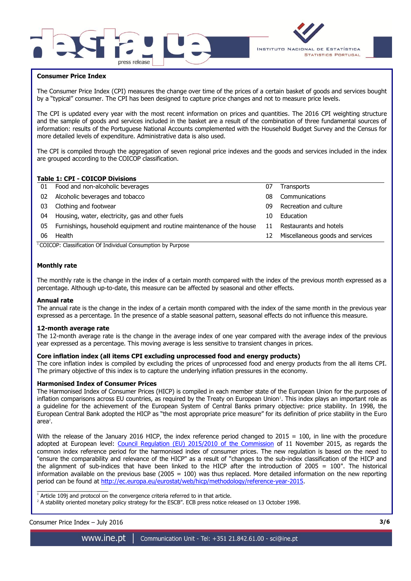



## **Consumer Price Index**

The Consumer Price Index (CPI) measures the change over time of the prices of a certain basket of goods and services bought by a "typical" consumer. The CPI has been designed to capture price changes and not to measure price levels.

The CPI is updated every year with the most recent information on prices and quantities. The 2016 CPI weighting structure and the sample of goods and services included in the basket are a result of the combination of three fundamental sources of information: results of the Portuguese National Accounts complemented with the Household Budget Survey and the Census for more detailed levels of expenditure. Administrative data is also used.

The CPI is compiled through the aggregation of seven regional price indexes and the goods and services included in the index are grouped according to the COICOP classification.

## **Table 1: CPI - COICOP Divisions**

|    | 01 Food and non-alcoholic beverages                                   | 07 | Transports                       |
|----|-----------------------------------------------------------------------|----|----------------------------------|
| 02 | Alcoholic beverages and tobacco                                       | 08 | Communications                   |
| 03 | Clothing and footwear                                                 | 09 | Recreation and culture           |
| 04 | Housing, water, electricity, gas and other fuels                      | 10 | Education                        |
| 05 | Furnishings, household equipment and routine maintenance of the house | 11 | Restaurants and hotels           |
| 06 | Health                                                                | 12 | Miscellaneous goods and services |
|    |                                                                       |    |                                  |

<sup>1</sup>COICOP: Classification Of Individual Consumption by Purpose

### **Monthly rate**

The monthly rate is the change in the index of a certain month compared with the index of the previous month expressed as a percentage. Although up-to-date, this measure can be affected by seasonal and other effects.

#### **Annual rate**

The annual rate is the change in the index of a certain month compared with the index of the same month in the previous year expressed as a percentage. In the presence of a stable seasonal pattern, seasonal effects do not influence this measure.

#### **12-month average rate**

The 12-month average rate is the change in the average index of one year compared with the average index of the previous year expressed as a percentage. This moving average is less sensitive to transient changes in prices.

### **Core inflation index (all items CPI excluding unprocessed food and energy products)**

The core inflation index is compiled by excluding the prices of unprocessed food and energy products from the all items CPI. The primary objective of this index is to capture the underlying inflation pressures in the economy.

#### **Harmonised Index of Consumer Prices**

The Harmonised Index of Consumer Prices (HICP) is compiled in each member state of the European Union for the purposes of inflation comparisons across EU countries, as required by the Treaty on European Union<sup>1</sup>. This index plays an important role as a guideline for the achievement of the European System of Central Banks primary objective: price stability. In 1998, the European Central Bank adopted the HICP as "the most appropriate price measure" for its definition of price stability in the Euro  $area<sup>2</sup>$ .

With the release of the January 2016 HICP, the index reference period changed to  $2015 = 100$ , in line with the procedure adopted at European level: [Council Regulation \(EU\) 2015/2010 of the Commission](http://eur-lex.europa.eu/legal-content/EN/TXT/PDF/?uri=CELEX:32015R2010&from=EN) of 11 November 2015, as regards the common index reference period for the harmonised index of consumer prices. The new regulation is based on the need to "ensure the comparability and relevance of the HICP" as a result of "changes to the sub-index classification of the HICP and the alignment of sub-indices that have been linked to the HICP after the introduction of 2005 = 100". The historical information available on the previous base (2005 =  $100$ ) was thus replaced. More detailed information on the new reporting period can be found at [http://ec.europa.eu/eurostat/web/hicp/methodology/reference-year-2015.](http://ec.europa.eu/eurostat/web/hicp/methodology/reference-year-2015)

 $1$  Article 109j and protocol on the convergence criteria referred to in that article.

<sup>2</sup> A stability oriented monetary policy strategy for the ESCB". ECB press notice released on 13 October 1998.

 $\frac{1}{2}$  ,  $\frac{1}{2}$  ,  $\frac{1}{2}$  ,  $\frac{1}{2}$  ,  $\frac{1}{2}$  ,  $\frac{1}{2}$  ,  $\frac{1}{2}$  ,  $\frac{1}{2}$  ,  $\frac{1}{2}$  ,  $\frac{1}{2}$  ,  $\frac{1}{2}$  ,  $\frac{1}{2}$  ,  $\frac{1}{2}$  ,  $\frac{1}{2}$  ,  $\frac{1}{2}$  ,  $\frac{1}{2}$  ,  $\frac{1}{2}$  ,  $\frac{1}{2}$  ,  $\frac{1$ 

www.ine.pt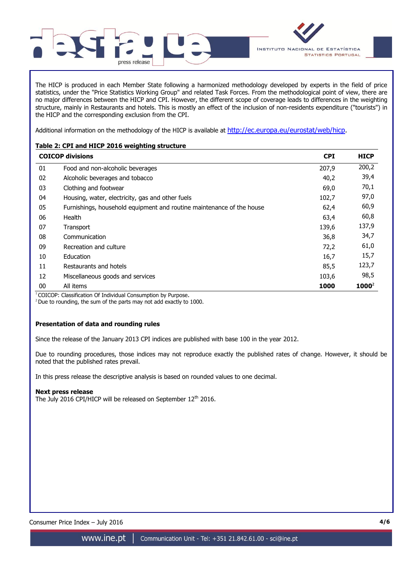

The HICP is produced in each Member State following a harmonized methodology developed by experts in the field of price statistics, under the "Price Statistics Working Group" and related Task Forces. From the methodological point of view, there are no major differences between the HICP and CPI. However, the different scope of coverage leads to differences in the weighting structure, mainly in Restaurants and hotels. This is mostly an effect of the inclusion of non-residents expenditure ("tourists") in the HICP and the corresponding exclusion from the CPI.

Additional information on the methodology of the HICP is available at [http://ec.europa.eu/eurostat/web/hicp.](http://ec.europa.eu/eurostat/web/hicp)

# **Table 2: CPI and HICP 2016 weighting structure**

|    | <b>COICOP divisions</b>                                               | <b>CPI</b> | <b>HICP</b> |
|----|-----------------------------------------------------------------------|------------|-------------|
| 01 | Food and non-alcoholic beverages                                      | 207.9      | 200,2       |
| 02 | Alcoholic beverages and tobacco                                       | 40,2       | 39,4        |
| 03 | Clothing and footwear                                                 | 69,0       | 70,1        |
| 04 | Housing, water, electricity, gas and other fuels                      | 102,7      | 97,0        |
| 05 | Furnishings, household equipment and routine maintenance of the house | 62,4       | 60,9        |
| 06 | Health                                                                | 63,4       | 60,8        |
| 07 | Transport                                                             | 139,6      | 137,9       |
| 08 | Communication                                                         | 36,8       | 34,7        |
| 09 | Recreation and culture                                                | 72,2       | 61,0        |
| 10 | Education                                                             | 16,7       | 15,7        |
| 11 | Restaurants and hotels                                                | 85,5       | 123,7       |
| 12 | Miscellaneous goods and services                                      | 103,6      | 98,5        |
| 00 | All items                                                             | 1000       | $1000^2$    |

<sup>1</sup> COICOP: Classification Of Individual Consumption by Purpose.

 $2$  Due to rounding, the sum of the parts may not add exactly to 1000.

## **Presentation of data and rounding rules**

Since the release of the January 2013 CPI indices are published with base 100 in the year 2012.

Due to rounding procedures, those indices may not reproduce exactly the published rates of change. However, it should be noted that the published rates prevail.

In this press release the descriptive analysis is based on rounded values to one decimal.

### **Next press release**

The July 2016 CPI/HICP will be released on September 12<sup>th</sup> 2016.

Consumer Price Index – July 2016 **4/6**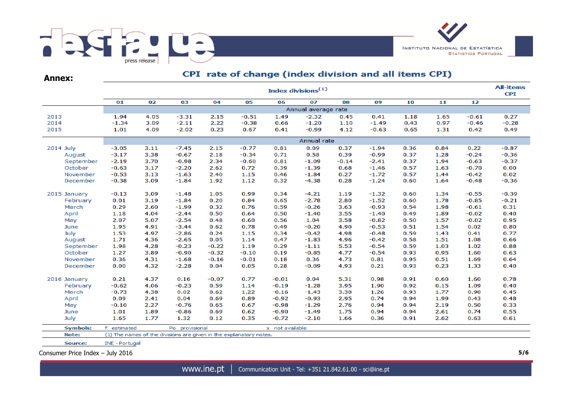

**Annex:**

# CPI rate of change (index division and all items CPI)

|                   | <b>All-items</b><br>Index divisions $(1)$ |              |                                                                    |              |              |                 |                    |              |                    |              |              |                      |                 |  |
|-------------------|-------------------------------------------|--------------|--------------------------------------------------------------------|--------------|--------------|-----------------|--------------------|--------------|--------------------|--------------|--------------|----------------------|-----------------|--|
|                   | 01                                        | 02           | 03                                                                 | 04           | 05           | 06              | 07                 | 08           | 09                 | 10           | 11           | 12                   |                 |  |
|                   | Annual average rate                       |              |                                                                    |              |              |                 |                    |              |                    |              |              |                      |                 |  |
| 2013              | 1.94                                      | 4.05         | $-3.31$                                                            | 2.15         | $-0.51$      | 1.49            | $-2.32$            | 0.45         | 0.41               | 1.18         | 1.65         | $-0.61$              | 0.27            |  |
| 2014              | $-1.34$                                   | 3.09         | $-2.11$                                                            | 2.22         | $-0.38$      | 0.66            | $-1.20$            | 1.10         | $-1.49$            | 0.43         | 0.97         | $-0.46$              | $-0.28$         |  |
| 2015              | 1.01                                      | 4.09         | $-2.02$                                                            | 0.23         | 0.67         | 0.41            | $-0.99$            | 4.12         | $-0.63$            | 0.65         | 1.31         | 0.42                 | 0.49            |  |
|                   | Annual rate                               |              |                                                                    |              |              |                 |                    |              |                    |              |              |                      |                 |  |
| 2014 July         | $-3.05$                                   | 3.11         | $-7.45$                                                            | 2.15         | $-0.77$      | 0.81            | 0.09               | 0.37         | $-1.94$            | 0.36         | 0.84         | 0.22                 | $-0.87$         |  |
| August            | $-3.17$                                   | 3.38         | $-0.67$                                                            | 2.18         | $-0.34$      | 0.71            | 0.58               | 0.39         | $-0.99$            | 0.37         | 1.28         | $-0.24$              | $-0.36$         |  |
| September         | $-2.19$                                   | 3.70         | $-0.98$                                                            | 2.34         | $-0.60$      | 0.81            | $-1.09$            | $-0.14$      | $-2.41$            | 0.37         | 1.94         | $-0.63$              | $-0.37$         |  |
| October           | $-0.63$                                   | 3.17         | $-2.20$                                                            | 2.62         | 0.72         | 0.39            | $-1.39$            | 0.68         | $-1.46$            | 0.57         | 1.63         | $-0.70$              | 0.00            |  |
| November          | $-0.53$                                   | 3.13         | $-1.63$                                                            | 2.40         | 1.15         | 0.46            | $-1.84$            | 0.27         | $-1.72$            | 0.57         | 1.44         | $-0.42$              | 0.02            |  |
| December          | $-0.38$                                   | 3.09         | $-1.84$                                                            | 1.92         | 1.12         | 0.32            | $-4.38$            | 0.28         | $-1.24$            | 0.60         | 1.64         | $-0.48$              | $-0.36$         |  |
|                   |                                           |              |                                                                    |              |              |                 |                    |              |                    |              |              |                      |                 |  |
| 2015 January      | $-0.13$                                   | 3.09         | $-1.48$<br>$-1.84$                                                 | 1.05         | 0.99<br>0.84 | 0.34            | $-4.21$            | 1.19         | $-1.32$            | 0.60         | 1.34         | $-0.55$              | $-0.39$         |  |
| February<br>March | 0.01<br>0.29                              | 3.19<br>2.60 | $-1.99$                                                            | 0.20<br>0.32 | 0.76         | 0.65<br>0.59    | $-2.78$<br>$-0.26$ | 2.80<br>3.63 | $-1.52$<br>$-0.93$ | 0.60<br>0.54 | 1.78<br>1.98 | $-0.85$<br>$-0.61$   | $-0.21$<br>0.31 |  |
|                   |                                           | 4.04         | $-2.44$                                                            | 0.50         | 0.64         | 0.50            |                    | 3.55         |                    |              | 1.89         | $-0.02$              | 0.40            |  |
| April<br>May      | 1.18<br>2.07                              | 5.07         | $-2.54$                                                            | 0.48         | 0.60         | 0.56            | $-1.40$<br>1.04    | 3.58         | $-1.40$<br>$-0.82$ | 0.49<br>0.50 | 1.57         | $-0.02$              | 0.95            |  |
| June              | 1.95                                      | 4.91         | $-3.44$                                                            | 0.62         | 0.78         | 0.49            | $-0.20$            | 4.90         | $-0.53$            | 0.51         | 1.54         | 0.02                 | 0.80            |  |
| July              | 1.53                                      | 4.97         | $-2.86$                                                            | 0.24         | 1.15         | 0.34            | $-0.42$            | 4.98         | $-0.48$            | 0.59         | 1.43         | 0.41                 | 0.77            |  |
| August            | 1.71                                      | 4.36         | $-2.65$                                                            | 0.05         | 1.14         | 0.47            | $-1.83$            | 4.96         | $-0.42$            | 0.58         | 1.51         | 1.08                 | 0.66            |  |
| September         | 1.98                                      | 4.28         | $-0.23$                                                            | $-0.22$      | 1.19         | 0.29            | $-1.11$            | 5.53         | $-0.54$            | 0.59         | 1.03         | 1.02<br>1.60<br>1.69 | 0.88            |  |
| October           | 1.27                                      | 3.89         | $-0.90$                                                            | $-0.32$      | $-0.10$      | 0.19            | $-0.85$            | 4.77         | $-0.54$            | 0.93         | 0.95         |                      | 0.63            |  |
| November          | 0.36                                      | 4.31         | $-1.68$                                                            | $-0.16$      | $-0.01$      | 0.18            | 0.36               | 4.73         | 0.81               | 0.95         | 0.51         |                      | 0.64            |  |
| December          | 0.00                                      | 4.32         | $-2.28$                                                            | 0.04         | 0.05         | 0.28            | $-0.09$            | 4.93         | 0.21               | 0.93         | 0.23         | 1.33                 | 0.40            |  |
|                   |                                           |              |                                                                    |              |              |                 |                    |              |                    |              |              |                      |                 |  |
| 2016 January      | 0.21                                      | 4.37         | 0.16                                                               | $-0.07$      | 0.77         | $-0.01$         | 0.04               | 5.31         | 0.98               | 0.91         | 0.60         | 1.60                 | 0.78            |  |
| February          | $-0.62$                                   | 4.06         | $-0.23$                                                            | 0.59         | 1.14         | $-0.19$         | $-1.28$            | 3.95         | 1.90               | 0.92         | 0.15         | 1.09                 | 0.40            |  |
| March             | $-0.73$                                   | 4.38         | 0.02                                                               | 0.62         | 1.22         | $-0.16$         | $-1.43$            | 3.30         | 1.26               | 0.93         | 1.77         | 0.90                 | 0.45            |  |
| April             | 0.09                                      | 2.41         | 0.04                                                               | 0.69         | 0.89         | $-0.92$         | $-0.93$            | 2.95         | 0.74               | 0.94         | 1.99         | 0.43                 | 0.48            |  |
| May               | $-0.10$                                   | 2.27         | $-0.76$                                                            | 0.65         | 0.67         | $-0.98$         | $-1.29$            | 2.76         | 0.94               | 0.94         | 2.19         | 0.50                 | 0.33            |  |
| June              | 1.01                                      | 1.89         | $-0.86$                                                            | 0.69         | 0.62         | $-0.90$         | $-1.49$            | 1.75         | 0.94               | 0.94         | 2.61         | 0.74                 | 0.55            |  |
| July              | 1.65                                      | 1.77         | 1.32                                                               | 0.12         | 0.35         | $-0.72$         | $-2.10$            | 1.66         | 0.36               | 0.91         | 2.62         | 0.63                 | 0.61            |  |
| <b>Symbols:</b>   | f estimated                               |              | Po provisional                                                     |              |              | x not available |                    |              |                    |              |              |                      |                 |  |
| Note:             |                                           |              | (1) The names of the divisions are given in the explanatory notes. |              |              |                 |                    |              |                    |              |              |                      |                 |  |
| Source:           | INE - Portugal                            |              |                                                                    |              |              |                 |                    |              |                    |              |              |                      |                 |  |

Consumer Price Index – July 2016 **5/6**

www.ine.pt |